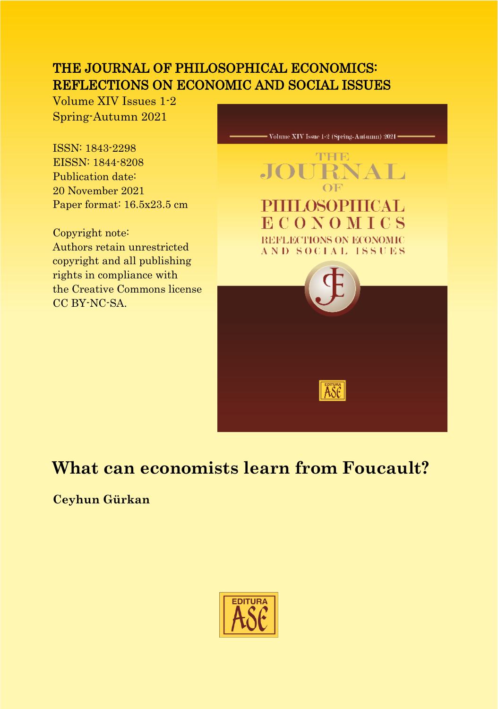### THE JOURNAL OF PHILOSOPHICAL ECONOMICS: REFLECTIONS ON ECONOMIC AND SOCIAL ISSUES

Volume XIV Issues 1-2 Spring-Autumn 2021

ISSN: 1843-2298 EISSN: 1844-8208 Publication date: 20 November 2021 Paper format: 16.5x23.5 cm

Copyright note: Authors retain unrestricted copyright and all publishing rights in compliance with the Creative Commons license CC BY-NC-SA.



# **What can economists learn from Foucault?**

**Ceyhun Gürkan**

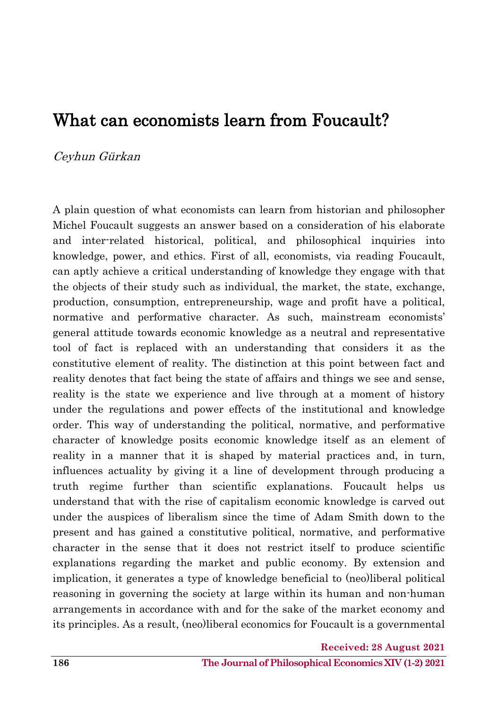## What can economists learn from Foucault?

#### Ceyhun Gürkan

A plain question of what economists can learn from historian and philosopher Michel Foucault suggests an answer based on a consideration of his elaborate and inter-related historical, political, and philosophical inquiries into knowledge, power, and ethics. First of all, economists, via reading Foucault, can aptly achieve a critical understanding of knowledge they engage with that the objects of their study such as individual, the market, the state, exchange, production, consumption, entrepreneurship, wage and profit have a political, normative and performative character. As such, mainstream economists' general attitude towards economic knowledge as a neutral and representative tool of fact is replaced with an understanding that considers it as the constitutive element of reality. The distinction at this point between fact and reality denotes that fact being the state of affairs and things we see and sense, reality is the state we experience and live through at a moment of history under the regulations and power effects of the institutional and knowledge order. This way of understanding the political, normative, and performative character of knowledge posits economic knowledge itself as an element of reality in a manner that it is shaped by material practices and, in turn, influences actuality by giving it a line of development through producing a truth regime further than scientific explanations. Foucault helps us understand that with the rise of capitalism economic knowledge is carved out under the auspices of liberalism since the time of Adam Smith down to the present and has gained a constitutive political, normative, and performative character in the sense that it does not restrict itself to produce scientific explanations regarding the market and public economy. By extension and implication, it generates a type of knowledge beneficial to (neo)liberal political reasoning in governing the society at large within its human and non-human arrangements in accordance with and for the sake of the market economy and its principles. As a result, (neo)liberal economics for Foucault is a governmental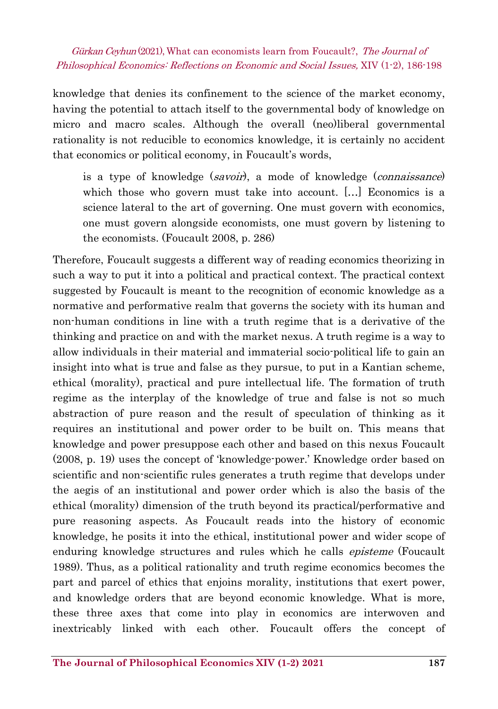knowledge that denies its confinement to the science of the market economy, having the potential to attach itself to the governmental body of knowledge on micro and macro scales. Although the overall (neo)liberal governmental rationality is not reducible to economics knowledge, it is certainly no accident that economics or political economy, in Foucault's words,

is a type of knowledge (savoir), a mode of knowledge (connaissance) which those who govern must take into account. [...] Economics is a science lateral to the art of governing. One must govern with economics, one must govern alongside economists, one must govern by listening to the economists. (Foucault 2008, p. 286)

Therefore, Foucault suggests a different way of reading economics theorizing in such a way to put it into a political and practical context. The practical context suggested by Foucault is meant to the recognition of economic knowledge as a normative and performative realm that governs the society with its human and non-human conditions in line with a truth regime that is a derivative of the thinking and practice on and with the market nexus. A truth regime is a way to allow individuals in their material and immaterial socio-political life to gain an insight into what is true and false as they pursue, to put in a Kantian scheme, ethical (morality), practical and pure intellectual life. The formation of truth regime as the interplay of the knowledge of true and false is not so much abstraction of pure reason and the result of speculation of thinking as it requires an institutional and power order to be built on. This means that knowledge and power presuppose each other and based on this nexus Foucault (2008, p. 19) uses the concept of 'knowledge-power.' Knowledge order based on scientific and non-scientific rules generates a truth regime that develops under the aegis of an institutional and power order which is also the basis of the ethical (morality) dimension of the truth beyond its practical/performative and pure reasoning aspects. As Foucault reads into the history of economic knowledge, he posits it into the ethical, institutional power and wider scope of enduring knowledge structures and rules which he calls *episteme* (Foucault 1989). Thus, as a political rationality and truth regime economics becomes the part and parcel of ethics that enjoins morality, institutions that exert power, and knowledge orders that are beyond economic knowledge. What is more, these three axes that come into play in economics are interwoven and inextricably linked with each other. Foucault offers the concept of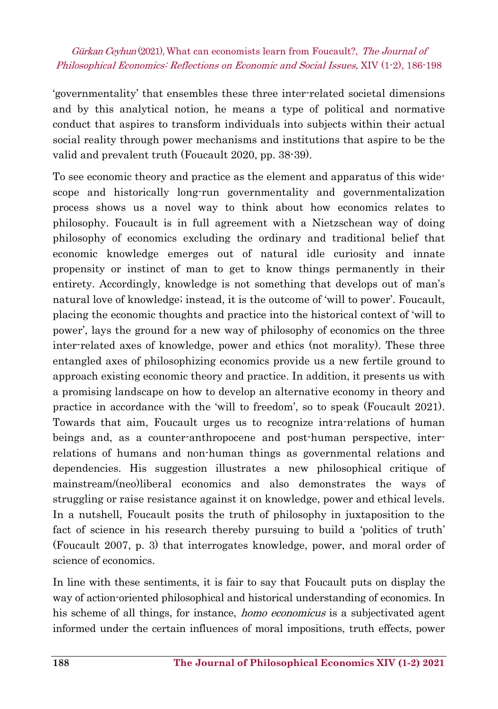'governmentality' that ensembles these three inter-related societal dimensions and by this analytical notion, he means a type of political and normative conduct that aspires to transform individuals into subjects within their actual social reality through power mechanisms and institutions that aspire to be the valid and prevalent truth (Foucault 2020, pp. 38-39).

To see economic theory and practice as the element and apparatus of this widescope and historically long-run governmentality and governmentalization process shows us a novel way to think about how economics relates to philosophy. Foucault is in full agreement with a Nietzschean way of doing philosophy of economics excluding the ordinary and traditional belief that economic knowledge emerges out of natural idle curiosity and innate propensity or instinct of man to get to know things permanently in their entirety. Accordingly, knowledge is not something that develops out of man's natural love of knowledge; instead, it is the outcome of 'will to power'. Foucault, placing the economic thoughts and practice into the historical context of 'will to power', lays the ground for a new way of philosophy of economics on the three inter-related axes of knowledge, power and ethics (not morality). These three entangled axes of philosophizing economics provide us a new fertile ground to approach existing economic theory and practice. In addition, it presents us with a promising landscape on how to develop an alternative economy in theory and practice in accordance with the 'will to freedom', so to speak (Foucault 2021). Towards that aim, Foucault urges us to recognize intra-relations of human beings and, as a counter-anthropocene and post-human perspective, interrelations of humans and non-human things as governmental relations and dependencies. His suggestion illustrates a new philosophical critique of mainstream/(neo)liberal economics and also demonstrates the ways of struggling or raise resistance against it on knowledge, power and ethical levels. In a nutshell, Foucault posits the truth of philosophy in juxtaposition to the fact of science in his research thereby pursuing to build a 'politics of truth' (Foucault 2007, p. 3) that interrogates knowledge, power, and moral order of science of economics.

In line with these sentiments, it is fair to say that Foucault puts on display the way of action-oriented philosophical and historical understanding of economics. In his scheme of all things, for instance, *homo economicus* is a subjectivated agent informed under the certain influences of moral impositions, truth effects, power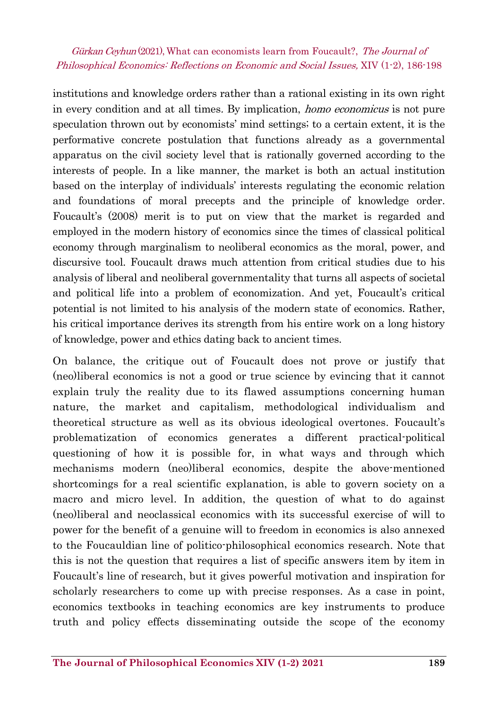institutions and knowledge orders rather than a rational existing in its own right in every condition and at all times. By implication, homo economicus is not pure speculation thrown out by economists' mind settings; to a certain extent, it is the performative concrete postulation that functions already as a governmental apparatus on the civil society level that is rationally governed according to the interests of people. In a like manner, the market is both an actual institution based on the interplay of individuals' interests regulating the economic relation and foundations of moral precepts and the principle of knowledge order. Foucault's (2008) merit is to put on view that the market is regarded and employed in the modern history of economics since the times of classical political economy through marginalism to neoliberal economics as the moral, power, and discursive tool. Foucault draws much attention from critical studies due to his analysis of liberal and neoliberal governmentality that turns all aspects of societal and political life into a problem of economization. And yet, Foucault's critical potential is not limited to his analysis of the modern state of economics. Rather, his critical importance derives its strength from his entire work on a long history of knowledge, power and ethics dating back to ancient times.

On balance, the critique out of Foucault does not prove or justify that (neo)liberal economics is not a good or true science by evincing that it cannot explain truly the reality due to its flawed assumptions concerning human nature, the market and capitalism, methodological individualism and theoretical structure as well as its obvious ideological overtones. Foucault's problematization of economics generates a different practical-political questioning of how it is possible for, in what ways and through which mechanisms modern (neo)liberal economics, despite the above-mentioned shortcomings for a real scientific explanation, is able to govern society on a macro and micro level. In addition, the question of what to do against (neo)liberal and neoclassical economics with its successful exercise of will to power for the benefit of a genuine will to freedom in economics is also annexed to the Foucauldian line of politico-philosophical economics research. Note that this is not the question that requires a list of specific answers item by item in Foucault's line of research, but it gives powerful motivation and inspiration for scholarly researchers to come up with precise responses. As a case in point, economics textbooks in teaching economics are key instruments to produce truth and policy effects disseminating outside the scope of the economy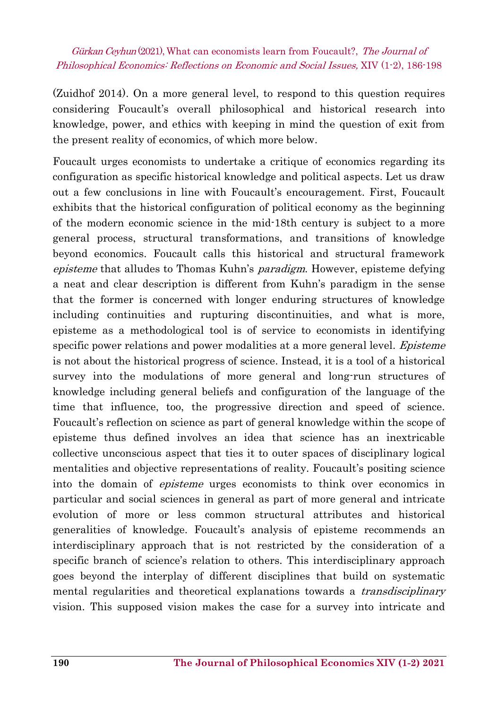(Zuidhof 2014). On a more general level, to respond to this question requires considering Foucault's overall philosophical and historical research into knowledge, power, and ethics with keeping in mind the question of exit from the present reality of economics, of which more below.

Foucault urges economists to undertake a critique of economics regarding its configuration as specific historical knowledge and political aspects. Let us draw out a few conclusions in line with Foucault's encouragement. First, Foucault exhibits that the historical configuration of political economy as the beginning of the modern economic science in the mid-18th century is subject to a more general process, structural transformations, and transitions of knowledge beyond economics. Foucault calls this historical and structural framework episteme that alludes to Thomas Kuhn's paradigm. However, episteme defying a neat and clear description is different from Kuhn's paradigm in the sense that the former is concerned with longer enduring structures of knowledge including continuities and rupturing discontinuities, and what is more, episteme as a methodological tool is of service to economists in identifying specific power relations and power modalities at a more general level. *Episteme* is not about the historical progress of science. Instead, it is a tool of a historical survey into the modulations of more general and long-run structures of knowledge including general beliefs and configuration of the language of the time that influence, too, the progressive direction and speed of science. Foucault's reflection on science as part of general knowledge within the scope of episteme thus defined involves an idea that science has an inextricable collective unconscious aspect that ties it to outer spaces of disciplinary logical mentalities and objective representations of reality. Foucault's positing science into the domain of episteme urges economists to think over economics in particular and social sciences in general as part of more general and intricate evolution of more or less common structural attributes and historical generalities of knowledge. Foucault's analysis of episteme recommends an interdisciplinary approach that is not restricted by the consideration of a specific branch of science's relation to others. This interdisciplinary approach goes beyond the interplay of different disciplines that build on systematic mental regularities and theoretical explanations towards a *transdisciplinary* vision. This supposed vision makes the case for a survey into intricate and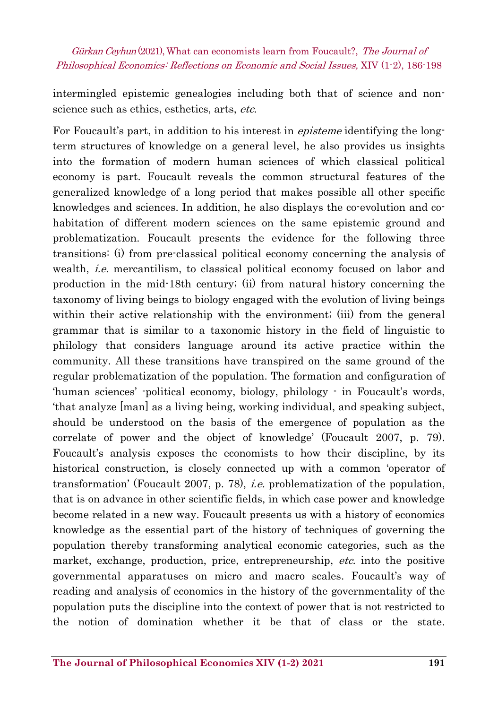intermingled epistemic genealogies including both that of science and nonscience such as ethics, esthetics, arts, etc.

For Foucault's part, in addition to his interest in *episteme* identifying the longterm structures of knowledge on a general level, he also provides us insights into the formation of modern human sciences of which classical political economy is part. Foucault reveals the common structural features of the generalized knowledge of a long period that makes possible all other specific knowledges and sciences. In addition, he also displays the co-evolution and cohabitation of different modern sciences on the same epistemic ground and problematization. Foucault presents the evidence for the following three transitions: (i) from pre-classical political economy concerning the analysis of wealth, *i.e.* mercantilism, to classical political economy focused on labor and production in the mid-18th century; (ii) from natural history concerning the taxonomy of living beings to biology engaged with the evolution of living beings within their active relationship with the environment; (iii) from the general grammar that is similar to a taxonomic history in the field of linguistic to philology that considers language around its active practice within the community. All these transitions have transpired on the same ground of the regular problematization of the population. The formation and configuration of 'human sciences' -political economy, biology, philology - in Foucault's words, 'that analyze [man] as a living being, working individual, and speaking subject, should be understood on the basis of the emergence of population as the correlate of power and the object of knowledge' (Foucault 2007, p. 79). Foucault's analysis exposes the economists to how their discipline, by its historical construction, is closely connected up with a common 'operator of transformation' (Foucault 2007, p. 78), *i.e.* problematization of the population, that is on advance in other scientific fields, in which case power and knowledge become related in a new way. Foucault presents us with a history of economics knowledge as the essential part of the history of techniques of governing the population thereby transforming analytical economic categories, such as the market, exchange, production, price, entrepreneurship, *etc.* into the positive governmental apparatuses on micro and macro scales. Foucault's way of reading and analysis of economics in the history of the governmentality of the population puts the discipline into the context of power that is not restricted to the notion of domination whether it be that of class or the state.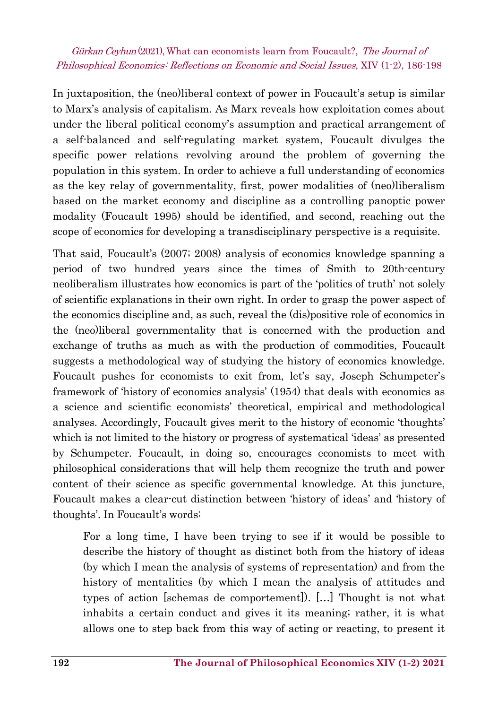In juxtaposition, the (neo)liberal context of power in Foucault's setup is similar to Marx's analysis of capitalism. As Marx reveals how exploitation comes about under the liberal political economy's assumption and practical arrangement of a self-balanced and self-regulating market system, Foucault divulges the specific power relations revolving around the problem of governing the population in this system. In order to achieve a full understanding of economics as the key relay of governmentality, first, power modalities of (neo)liberalism based on the market economy and discipline as a controlling panoptic power modality (Foucault 1995) should be identified, and second, reaching out the scope of economics for developing a transdisciplinary perspective is a requisite.

That said, Foucault's (2007; 2008) analysis of economics knowledge spanning a period of two hundred years since the times of Smith to 20th-century neoliberalism illustrates how economics is part of the 'politics of truth' not solely of scientific explanations in their own right. In order to grasp the power aspect of the economics discipline and, as such, reveal the (dis)positive role of economics in the (neo)liberal governmentality that is concerned with the production and exchange of truths as much as with the production of commodities, Foucault suggests a methodological way of studying the history of economics knowledge. Foucault pushes for economists to exit from, let's say, Joseph Schumpeter's framework of 'history of economics analysis' (1954) that deals with economics as a science and scientific economists' theoretical, empirical and methodological analyses. Accordingly, Foucault gives merit to the history of economic 'thoughts' which is not limited to the history or progress of systematical 'ideas' as presented by Schumpeter. Foucault, in doing so, encourages economists to meet with philosophical considerations that will help them recognize the truth and power content of their science as specific governmental knowledge. At this juncture, Foucault makes a clear-cut distinction between 'history of ideas' and 'history of thoughts'. In Foucault's words:

For a long time, I have been trying to see if it would be possible to describe the history of thought as distinct both from the history of ideas (by which I mean the analysis of systems of representation) and from the history of mentalities (by which I mean the analysis of attitudes and types of action [schemas de comportement]). […] Thought is not what inhabits a certain conduct and gives it its meaning; rather, it is what allows one to step back from this way of acting or reacting, to present it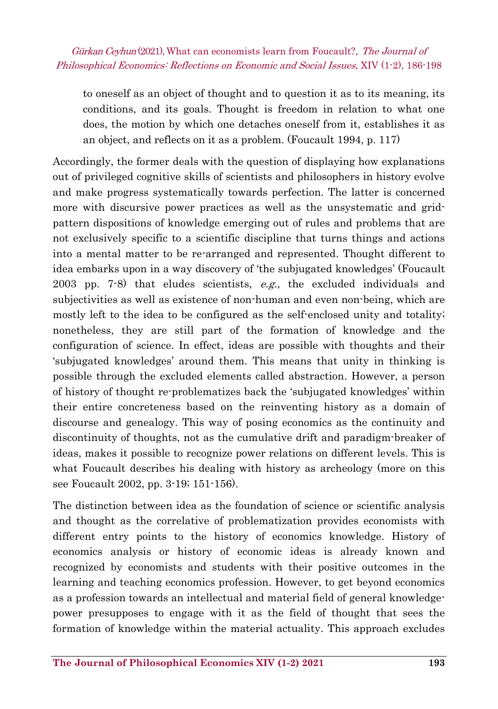to oneself as an object of thought and to question it as to its meaning, its conditions, and its goals. Thought is freedom in relation to what one does, the motion by which one detaches oneself from it, establishes it as an object, and reflects on it as a problem. (Foucault 1994, p. 117)

Accordingly, the former deals with the question of displaying how explanations out of privileged cognitive skills of scientists and philosophers in history evolve and make progress systematically towards perfection. The latter is concerned more with discursive power practices as well as the unsystematic and gridpattern dispositions of knowledge emerging out of rules and problems that are not exclusively specific to a scientific discipline that turns things and actions into a mental matter to be re-arranged and represented. Thought different to idea embarks upon in a way discovery of 'the subjugated knowledges' (Foucault 2003 pp. 7-8) that eludes scientists,  $e.g.,$  the excluded individuals and subjectivities as well as existence of non-human and even non-being, which are mostly left to the idea to be configured as the self-enclosed unity and totality; nonetheless, they are still part of the formation of knowledge and the configuration of science. In effect, ideas are possible with thoughts and their 'subjugated knowledges' around them. This means that unity in thinking is possible through the excluded elements called abstraction. However, a person of history of thought re-problematizes back the 'subjugated knowledges' within their entire concreteness based on the reinventing history as a domain of discourse and genealogy. This way of posing economics as the continuity and discontinuity of thoughts, not as the cumulative drift and paradigm-breaker of ideas, makes it possible to recognize power relations on different levels. This is what Foucault describes his dealing with history as archeology (more on this see Foucault 2002, pp. 3-19; 151-156).

The distinction between idea as the foundation of science or scientific analysis and thought as the correlative of problematization provides economists with different entry points to the history of economics knowledge. History of economics analysis or history of economic ideas is already known and recognized by economists and students with their positive outcomes in the learning and teaching economics profession. However, to get beyond economics as a profession towards an intellectual and material field of general knowledgepower presupposes to engage with it as the field of thought that sees the formation of knowledge within the material actuality. This approach excludes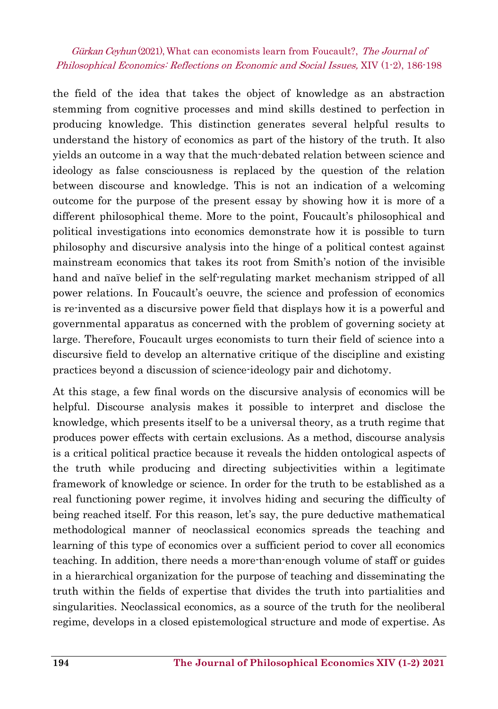the field of the idea that takes the object of knowledge as an abstraction stemming from cognitive processes and mind skills destined to perfection in producing knowledge. This distinction generates several helpful results to understand the history of economics as part of the history of the truth. It also yields an outcome in a way that the much-debated relation between science and ideology as false consciousness is replaced by the question of the relation between discourse and knowledge. This is not an indication of a welcoming outcome for the purpose of the present essay by showing how it is more of a different philosophical theme. More to the point, Foucault's philosophical and political investigations into economics demonstrate how it is possible to turn philosophy and discursive analysis into the hinge of a political contest against mainstream economics that takes its root from Smith's notion of the invisible hand and naïve belief in the self-regulating market mechanism stripped of all power relations. In Foucault's oeuvre, the science and profession of economics is re-invented as a discursive power field that displays how it is a powerful and governmental apparatus as concerned with the problem of governing society at large. Therefore, Foucault urges economists to turn their field of science into a discursive field to develop an alternative critique of the discipline and existing practices beyond a discussion of science-ideology pair and dichotomy.

At this stage, a few final words on the discursive analysis of economics will be helpful. Discourse analysis makes it possible to interpret and disclose the knowledge, which presents itself to be a universal theory, as a truth regime that produces power effects with certain exclusions. As a method, discourse analysis is a critical political practice because it reveals the hidden ontological aspects of the truth while producing and directing subjectivities within a legitimate framework of knowledge or science. In order for the truth to be established as a real functioning power regime, it involves hiding and securing the difficulty of being reached itself. For this reason, let's say, the pure deductive mathematical methodological manner of neoclassical economics spreads the teaching and learning of this type of economics over a sufficient period to cover all economics teaching. In addition, there needs a more-than-enough volume of staff or guides in a hierarchical organization for the purpose of teaching and disseminating the truth within the fields of expertise that divides the truth into partialities and singularities. Neoclassical economics, as a source of the truth for the neoliberal regime, develops in a closed epistemological structure and mode of expertise. As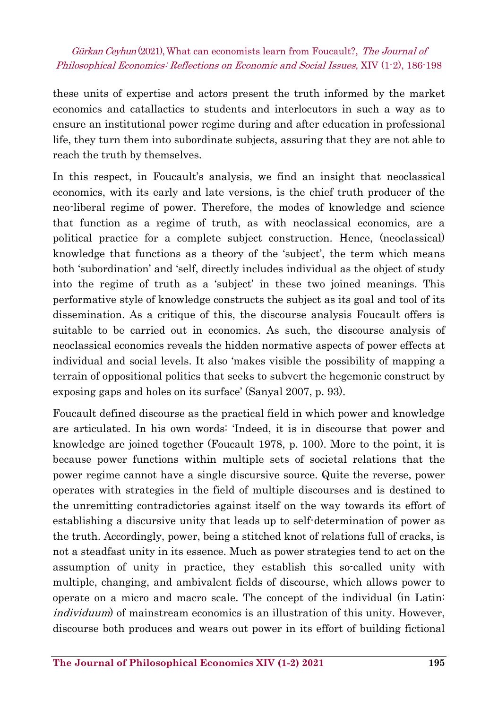these units of expertise and actors present the truth informed by the market economics and catallactics to students and interlocutors in such a way as to ensure an institutional power regime during and after education in professional life, they turn them into subordinate subjects, assuring that they are not able to reach the truth by themselves.

In this respect, in Foucault's analysis, we find an insight that neoclassical economics, with its early and late versions, is the chief truth producer of the neo-liberal regime of power. Therefore, the modes of knowledge and science that function as a regime of truth, as with neoclassical economics, are a political practice for a complete subject construction. Hence, (neoclassical) knowledge that functions as a theory of the 'subject', the term which means both 'subordination' and 'self, directly includes individual as the object of study into the regime of truth as a 'subject' in these two joined meanings. This performative style of knowledge constructs the subject as its goal and tool of its dissemination. As a critique of this, the discourse analysis Foucault offers is suitable to be carried out in economics. As such, the discourse analysis of neoclassical economics reveals the hidden normative aspects of power effects at individual and social levels. It also 'makes visible the possibility of mapping a terrain of oppositional politics that seeks to subvert the hegemonic construct by exposing gaps and holes on its surface' (Sanyal 2007, p. 93).

Foucault defined discourse as the practical field in which power and knowledge are articulated. In his own words: 'Indeed, it is in discourse that power and knowledge are joined together (Foucault 1978, p. 100). More to the point, it is because power functions within multiple sets of societal relations that the power regime cannot have a single discursive source. Quite the reverse, power operates with strategies in the field of multiple discourses and is destined to the unremitting contradictories against itself on the way towards its effort of establishing a discursive unity that leads up to self-determination of power as the truth. Accordingly, power, being a stitched knot of relations full of cracks, is not a steadfast unity in its essence. Much as power strategies tend to act on the assumption of unity in practice, they establish this so-called unity with multiple, changing, and ambivalent fields of discourse, which allows power to operate on a micro and macro scale. The concept of the individual (in Latin: individuum) of mainstream economics is an illustration of this unity. However, discourse both produces and wears out power in its effort of building fictional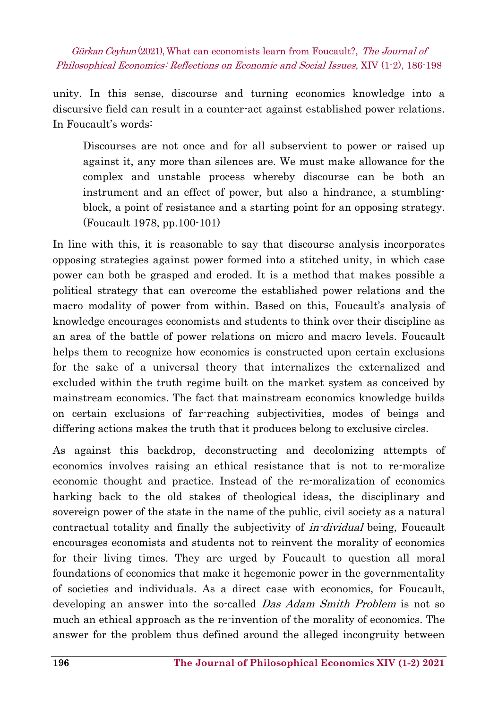unity. In this sense, discourse and turning economics knowledge into a discursive field can result in a counter-act against established power relations. In Foucault's words:

Discourses are not once and for all subservient to power or raised up against it, any more than silences are. We must make allowance for the complex and unstable process whereby discourse can be both an instrument and an effect of power, but also a hindrance, a stumblingblock, a point of resistance and a starting point for an opposing strategy. (Foucault 1978, pp.100-101)

In line with this, it is reasonable to say that discourse analysis incorporates opposing strategies against power formed into a stitched unity, in which case power can both be grasped and eroded. It is a method that makes possible a political strategy that can overcome the established power relations and the macro modality of power from within. Based on this, Foucault's analysis of knowledge encourages economists and students to think over their discipline as an area of the battle of power relations on micro and macro levels. Foucault helps them to recognize how economics is constructed upon certain exclusions for the sake of a universal theory that internalizes the externalized and excluded within the truth regime built on the market system as conceived by mainstream economics. The fact that mainstream economics knowledge builds on certain exclusions of far-reaching subjectivities, modes of beings and differing actions makes the truth that it produces belong to exclusive circles.

As against this backdrop, deconstructing and decolonizing attempts of economics involves raising an ethical resistance that is not to re-moralize economic thought and practice. Instead of the re-moralization of economics harking back to the old stakes of theological ideas, the disciplinary and sovereign power of the state in the name of the public, civil society as a natural contractual totality and finally the subjectivity of in-dividual being, Foucault encourages economists and students not to reinvent the morality of economics for their living times. They are urged by Foucault to question all moral foundations of economics that make it hegemonic power in the governmentality of societies and individuals. As a direct case with economics, for Foucault, developing an answer into the so-called *Das Adam Smith Problem* is not so much an ethical approach as the re-invention of the morality of economics. The answer for the problem thus defined around the alleged incongruity between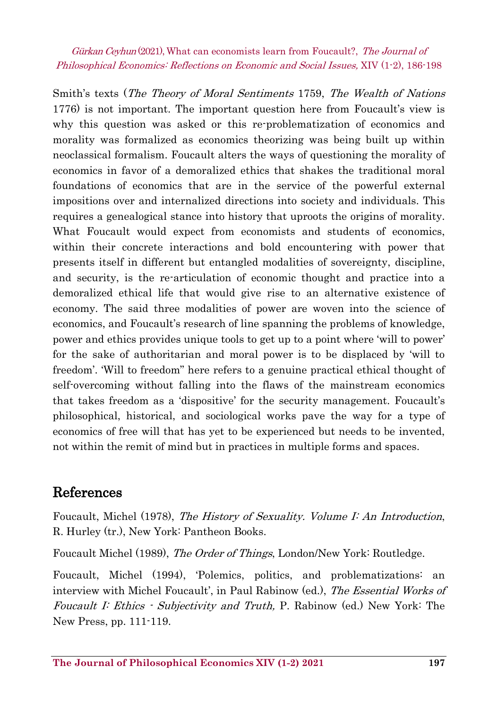Smith's texts (The Theory of Moral Sentiments 1759, The Wealth of Nations 1776) is not important. The important question here from Foucault's view is why this question was asked or this re-problematization of economics and morality was formalized as economics theorizing was being built up within neoclassical formalism. Foucault alters the ways of questioning the morality of economics in favor of a demoralized ethics that shakes the traditional moral foundations of economics that are in the service of the powerful external impositions over and internalized directions into society and individuals. This requires a genealogical stance into history that uproots the origins of morality. What Foucault would expect from economists and students of economics, within their concrete interactions and bold encountering with power that presents itself in different but entangled modalities of sovereignty, discipline, and security, is the re-articulation of economic thought and practice into a demoralized ethical life that would give rise to an alternative existence of economy. The said three modalities of power are woven into the science of economics, and Foucault's research of line spanning the problems of knowledge, power and ethics provides unique tools to get up to a point where 'will to power' for the sake of authoritarian and moral power is to be displaced by 'will to freedom'. 'Will to freedom" here refers to a genuine practical ethical thought of self-overcoming without falling into the flaws of the mainstream economics that takes freedom as a 'dispositive' for the security management. Foucault's philosophical, historical, and sociological works pave the way for a type of economics of free will that has yet to be experienced but needs to be invented, not within the remit of mind but in practices in multiple forms and spaces.

### References

Foucault, Michel (1978), The History of Sexuality. Volume I: An Introduction, R. Hurley (tr.), New York: Pantheon Books.

Foucault Michel (1989), The Order of Things, London/New York: Routledge.

Foucault, Michel (1994), 'Polemics, politics, and problematizations: an interview with Michel Foucault', in Paul Rabinow (ed.), The Essential Works of Foucault I: Ethics - Subjectivity and Truth, P. Rabinow (ed.) New York: The New Press, pp. 111-119.